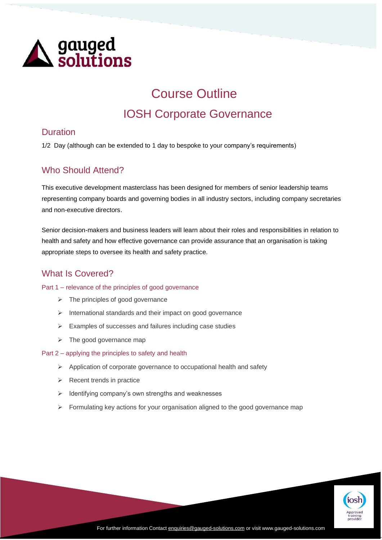

# Course Outline IOSH Corporate Governance

## Duration

1/2 Day (although can be extended to 1 day to bespoke to your company's requirements)

# Who Should Attend?

This executive development masterclass has been designed for members of senior leadership teams representing company boards and governing bodies in all industry sectors, including company secretaries and non-executive directors.

Senior decision-makers and business leaders will learn about their roles and responsibilities in relation to health and safety and how effective governance can provide assurance that an organisation is taking appropriate steps to oversee its health and safety practice.

## What Is Covered?

#### Part 1 – relevance of the principles of good governance

- $\triangleright$  The principles of good governance
- ➢ International standards and their impact on good governance
- ➢ Examples of successes and failures including case studies
- $\triangleright$  The good governance map

#### Part 2 – applying the principles to safety and health

- ➢ Application of corporate governance to occupational health and safety
- ➢ Recent trends in practice
- ➢ Identifying company's own strengths and weaknesses
- $\triangleright$  Formulating key actions for your organisation aligned to the good governance map